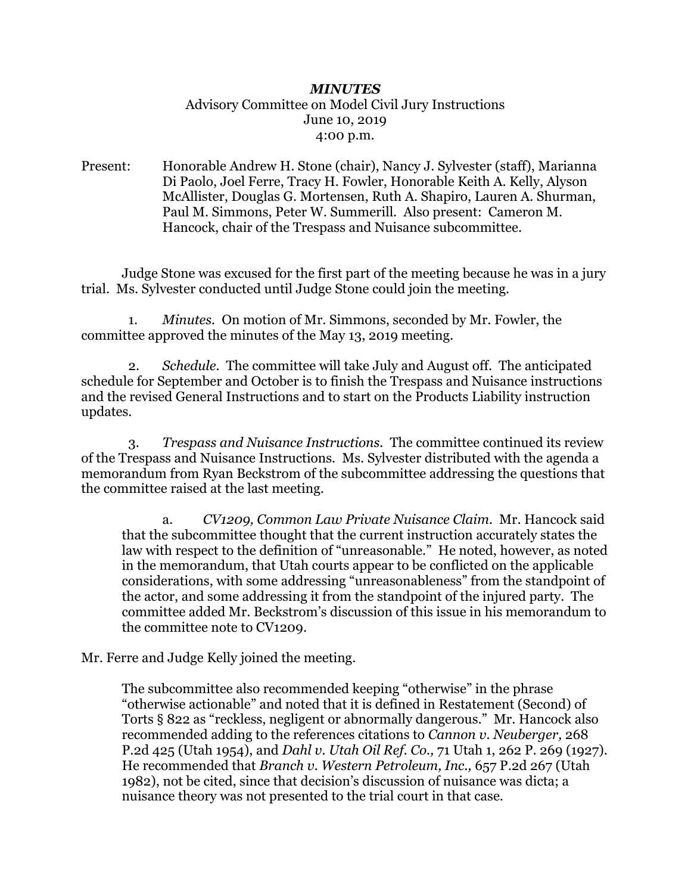## *MINUTES* Advisory Committee on Model Civil Jury Instructions June 10, 2019 4:00 p.m.

Present: Honorable Andrew H. Stone (chair), Nancy J. Sylvester (staff), Marianna Di Paolo, Joel Ferre, Tracy H. Fowler, Honorable Keith A. Kelly, Alyson McAllister, Douglas G. Mortensen, Ruth A. Shapiro, Lauren A. Shurman, Paul M. Simmons, Peter W. Summerill. Also present: Cameron M. Hancock, chair of the Trespass and Nuisance subcommittee.

Judge Stone was excused for the first part of the meeting because he was in a jury trial. Ms. Sylvester conducted until Judge Stone could join the meeting.

 1. *Minutes.* On motion of Mr. Simmons, seconded by Mr. Fowler, the committee approved the minutes of the May 13, 2019 meeting.

 2. *Schedule.* The committee will take July and August off. The anticipated schedule for September and October is to finish the Trespass and Nuisance instructions and the revised General Instructions and to start on the Products Liability instruction updates.

 3. *Trespass and Nuisance Instructions.* The committee continued its review of the Trespass and Nuisance Instructions. Ms. Sylvester distributed with the agenda a memorandum from Ryan Beckstrom of the subcommittee addressing the questions that the committee raised at the last meeting.

a. *CV1209, Common Law Private Nuisance Claim.* Mr. Hancock said that the subcommittee thought that the current instruction accurately states the law with respect to the definition of "unreasonable." He noted, however, as noted in the memorandum, that Utah courts appear to be conflicted on the applicable considerations, with some addressing "unreasonableness" from the standpoint of the actor, and some addressing it from the standpoint of the injured party. The committee added Mr. Beckstrom's discussion of this issue in his memorandum to the committee note to CV1209.

Mr. Ferre and Judge Kelly joined the meeting.

The subcommittee also recommended keeping "otherwise" in the phrase "otherwise actionable" and noted that it is defined in Restatement (Second) of Torts § 822 as "reckless, negligent or abnormally dangerous." Mr. Hancock also recommended adding to the references citations to *Cannon v. Neuberger,* 268 P.2d 425 (Utah 1954), and *Dahl v. Utah Oil Ref. Co.,* 71 Utah 1, 262 P. 269 (1927). He recommended that *Branch v. Western Petroleum, Inc.,* 657 P.2d 267 (Utah 1982), not be cited, since that decision's discussion of nuisance was dicta; a nuisance theory was not presented to the trial court in that case.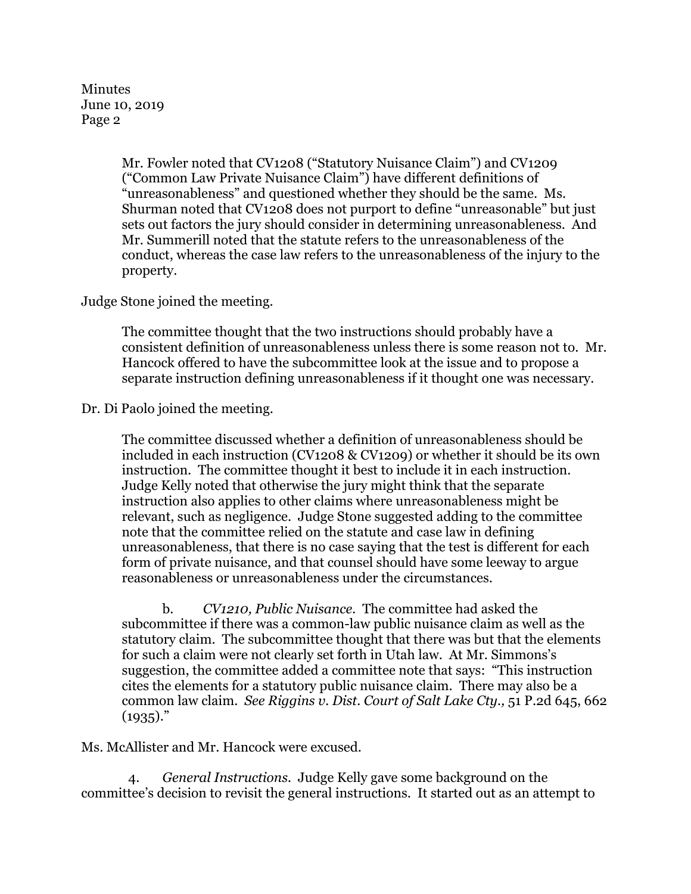Minutes June 10, 2019 Page 2

> Mr. Fowler noted that CV1208 ("Statutory Nuisance Claim") and CV1209 ("Common Law Private Nuisance Claim") have different definitions of "unreasonableness" and questioned whether they should be the same. Ms. Shurman noted that CV1208 does not purport to define "unreasonable" but just sets out factors the jury should consider in determining unreasonableness. And Mr. Summerill noted that the statute refers to the unreasonableness of the conduct, whereas the case law refers to the unreasonableness of the injury to the property.

Judge Stone joined the meeting.

The committee thought that the two instructions should probably have a consistent definition of unreasonableness unless there is some reason not to. Mr. Hancock offered to have the subcommittee look at the issue and to propose a separate instruction defining unreasonableness if it thought one was necessary.

Dr. Di Paolo joined the meeting.

The committee discussed whether a definition of unreasonableness should be included in each instruction (CV1208 & CV1209) or whether it should be its own instruction. The committee thought it best to include it in each instruction. Judge Kelly noted that otherwise the jury might think that the separate instruction also applies to other claims where unreasonableness might be relevant, such as negligence. Judge Stone suggested adding to the committee note that the committee relied on the statute and case law in defining unreasonableness, that there is no case saying that the test is different for each form of private nuisance, and that counsel should have some leeway to argue reasonableness or unreasonableness under the circumstances.

b. *CV1210, Public Nuisance.* The committee had asked the subcommittee if there was a common-law public nuisance claim as well as the statutory claim. The subcommittee thought that there was but that the elements for such a claim were not clearly set forth in Utah law. At Mr. Simmons's suggestion, the committee added a committee note that says: "This instruction cites the elements for a statutory public nuisance claim. There may also be a common law claim. *See Riggins v. Dist. Court of Salt Lake Cty.,* 51 P.2d 645, 662  $(1935).$ "

Ms. McAllister and Mr. Hancock were excused.

 4. *General Instructions.* Judge Kelly gave some background on the committee's decision to revisit the general instructions. It started out as an attempt to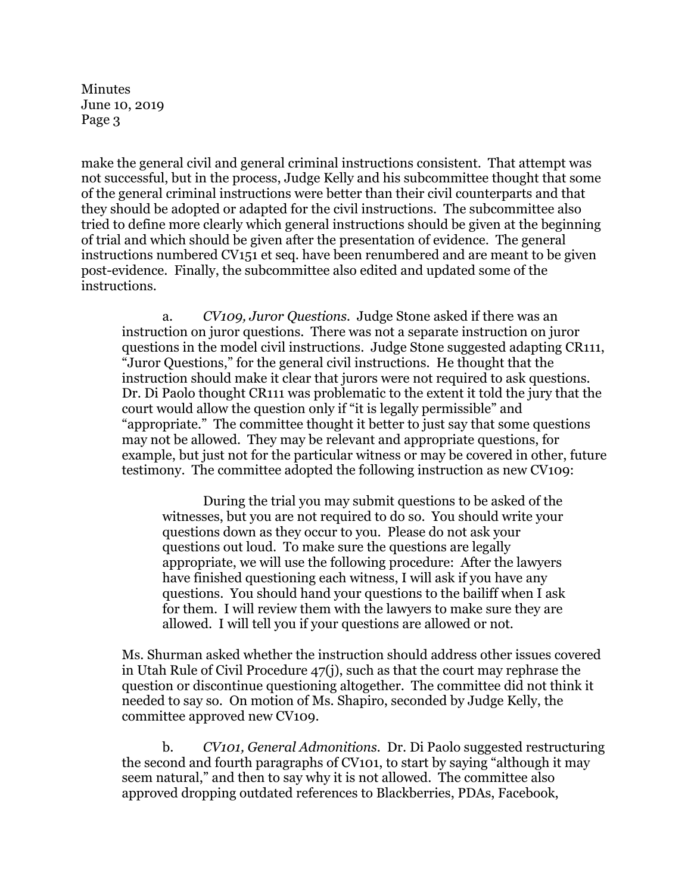Minutes June 10, 2019 Page 3

make the general civil and general criminal instructions consistent. That attempt was not successful, but in the process, Judge Kelly and his subcommittee thought that some of the general criminal instructions were better than their civil counterparts and that they should be adopted or adapted for the civil instructions. The subcommittee also tried to define more clearly which general instructions should be given at the beginning of trial and which should be given after the presentation of evidence. The general instructions numbered CV151 et seq. have been renumbered and are meant to be given post-evidence. Finally, the subcommittee also edited and updated some of the instructions.

a. *CV109, Juror Questions.* Judge Stone asked if there was an instruction on juror questions. There was not a separate instruction on juror questions in the model civil instructions. Judge Stone suggested adapting CR111, "Juror Questions," for the general civil instructions. He thought that the instruction should make it clear that jurors were not required to ask questions. Dr. Di Paolo thought CR111 was problematic to the extent it told the jury that the court would allow the question only if "it is legally permissible" and "appropriate." The committee thought it better to just say that some questions may not be allowed. They may be relevant and appropriate questions, for example, but just not for the particular witness or may be covered in other, future testimony. The committee adopted the following instruction as new CV109:

During the trial you may submit questions to be asked of the witnesses, but you are not required to do so. You should write your questions down as they occur to you. Please do not ask your questions out loud. To make sure the questions are legally appropriate, we will use the following procedure: After the lawyers have finished questioning each witness, I will ask if you have any questions. You should hand your questions to the bailiff when I ask for them. I will review them with the lawyers to make sure they are allowed. I will tell you if your questions are allowed or not.

Ms. Shurman asked whether the instruction should address other issues covered in Utah Rule of Civil Procedure 47(j), such as that the court may rephrase the question or discontinue questioning altogether. The committee did not think it needed to say so. On motion of Ms. Shapiro, seconded by Judge Kelly, the committee approved new CV109.

b. *CV101, General Admonitions.* Dr. Di Paolo suggested restructuring the second and fourth paragraphs of CV101, to start by saying "although it may seem natural," and then to say why it is not allowed. The committee also approved dropping outdated references to Blackberries, PDAs, Facebook,